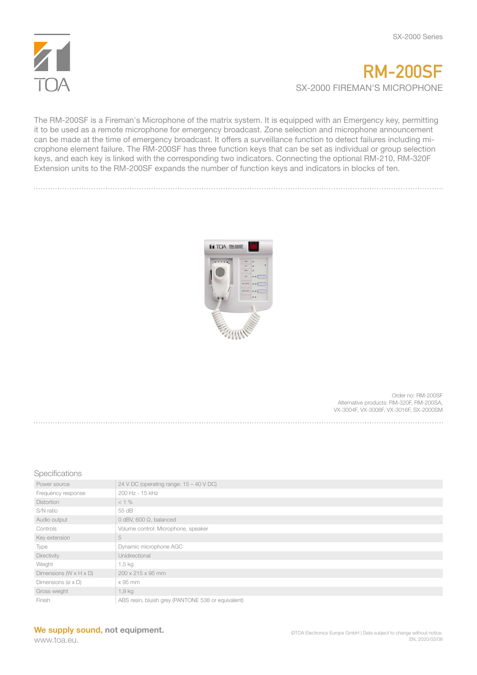

## **RM-200SF** SX-2000 FIREMAN'S MICROPHONE

The RM-200SF is a Fireman's Microphone of the matrix system. It is equipped with an Emergency key, permitting it to be used as a remote microphone for emergency broadcast. Zone selection and microphone announcement can be made at the time of emergency broadcast. It offers a surveillance function to detect failures including microphone element failure. The RM-200SF has three function keys that can be set as individual or group selection keys, and each key is linked with the corresponding two indicators. Connecting the optional RM-210, RM-320F Extension units to the RM-200SF expands the number of function keys and indicators in blocks of ten.



Order no: RM-200SF Alternative products: RM-320F, RM-200SA, VX-3004F, VX-3008F, VX-3016F, SX-2000SM

## Specifications

| Power source                          | 24 V DC (operating range: $15 - 40$ V DC)          |
|---------------------------------------|----------------------------------------------------|
| Frequency response                    | 200 Hz - 15 kHz                                    |
| <b>Distortion</b>                     | $< 1\%$                                            |
| S/N ratio                             | 55 dB                                              |
| Audio output                          | 0 dBV, 600 $\Omega$ , balanced                     |
| Controls                              | Volume control: Microphone, speaker                |
| Key extension                         | 5                                                  |
| Type                                  | Dynamic microphone AGC                             |
| Directivity                           | Unidirectional                                     |
| Weight                                | 1,5 kg                                             |
| Dimensions ( $W \times H \times D$ )  | $200 \times 215 \times 95$ mm                      |
| Dimensions ( $\varnothing \times D$ ) | x 95 mm                                            |
| Gross weight                          | 1,9 kg                                             |
| Finish                                | ABS resin, bluish grey (PANTONE 538 or equivalent) |